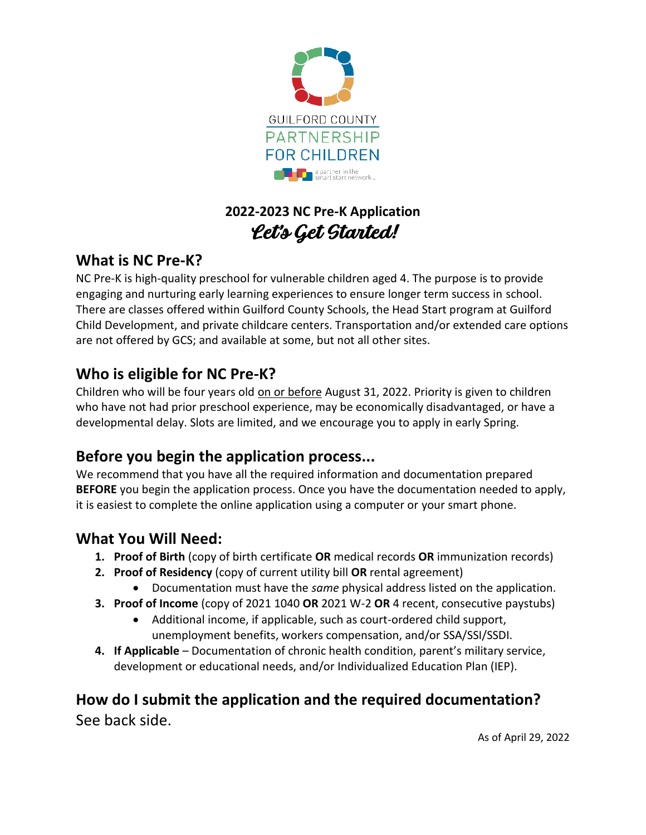

# **2022-2023 NC Pre-K Application** Let's Get Started!

# **What is NC Pre-K?**

NC Pre-K is high-quality preschool for vulnerable children aged 4. The purpose is to provide engaging and nurturing early learning experiences to ensure longer term success in school. There are classes offered within Guilford County Schools, the Head Start program at Guilford Child Development, and private childcare centers. Transportation and/or extended care options are not offered by GCS; and available at some, but not all other sites.

# **Who is eligible for NC Pre-K?**

Children who will be four years old on or before August 31, 2022. Priority is given to children who have not had prior preschool experience, may be economically disadvantaged, or have a developmental delay. Slots are limited, and we encourage you to apply in early Spring.

# **Before you begin the application process...**

We recommend that you have all the required information and documentation prepared **BEFORE** you begin the application process. Once you have the documentation needed to apply, it is easiest to complete the online application using a computer or your smart phone.

# **What You Will Need:**

- **1. Proof of Birth** (copy of birth certificate **OR** medical records **OR** immunization records)
- **2. Proof of Residency** (copy of current utility bill **OR** rental agreement)
	- Documentation must have the *same* physical address listed on the application.
- **3. Proof of Income** (copy of 2021 1040 **OR** 2021 W-2 **OR** 4 recent, consecutive paystubs)
	- Additional income, if applicable, such as court-ordered child support, unemployment benefits, workers compensation, and/or SSA/SSI/SSDI.
- **4. If Applicable**  Documentation of chronic health condition, parent's military service, development or educational needs, and/or Individualized Education Plan (IEP).

## **How do I submit the application and the required documentation?**  See back side.

As of April 29, 2022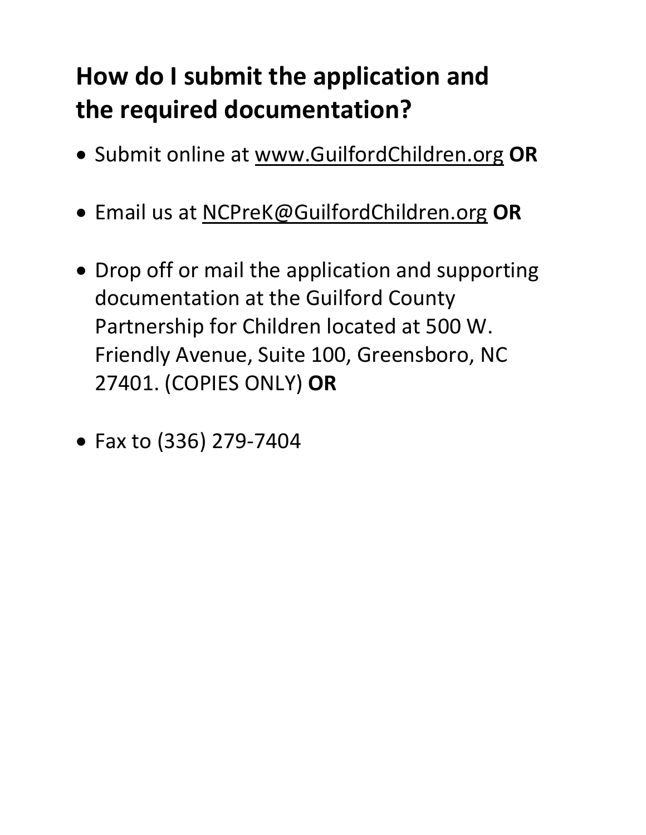# **How do I submit the application and the required documentation?**

- Submit online at [www.GuilfordChildren.org](http://www.guilfordchildren.org/) **OR**
- Email us at [NCPreK@GuilfordChildren.org](mailto:NCPreK@GuilfordChildren.org) **OR**
- Drop off or mail the application and supporting documentation at the Guilford County Partnership for Children located at 500 W. Friendly Avenue, Suite 100, Greensboro, NC 27401. (COPIES ONLY) **OR**
- Fax to (336) 279-7404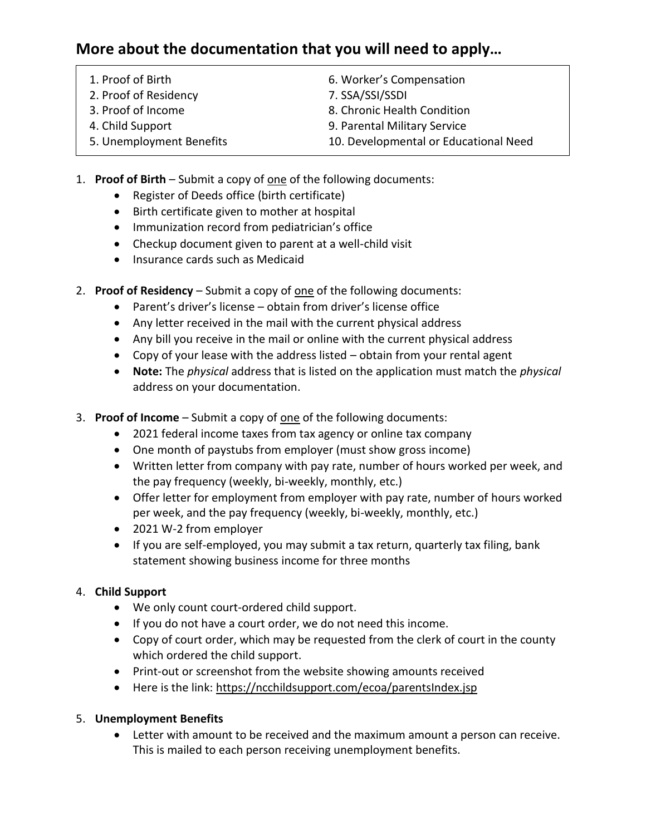# **More about the documentation that you will need to apply…**

- 2. Proof of Residency 7. SSA/SSI/SSDI
- 
- 
- 
- 6. Worker's Compensation
- 
- 3. Proof of Income 8. Chronic Health Condition
- 4. Child Support 9. Parental Military Service
- 5. Unemployment Benefits 10. Developmental or Educational Need
- 1. **Proof of Birth** Submit a copy of one of the following documents:
	- Register of Deeds office (birth certificate)
	- Birth certificate given to mother at hospital
	- Immunization record from pediatrician's office
	- Checkup document given to parent at a well-child visit
	- Insurance cards such as Medicaid
- 2. **Proof of Residency** Submit a copy of one of the following documents:
	- Parent's driver's license obtain from driver's license office
	- Any letter received in the mail with the current physical address
	- Any bill you receive in the mail or online with the current physical address
	- Copy of your lease with the address listed obtain from your rental agent
	- **Note:** The *physical* address that is listed on the application must match the *physical*  address on your documentation.
- 3. **Proof of Income** Submit a copy of one of the following documents:
	- 2021 federal income taxes from tax agency or online tax company
	- One month of paystubs from employer (must show gross income)
	- Written letter from company with pay rate, number of hours worked per week, and the pay frequency (weekly, bi-weekly, monthly, etc.)
	- Offer letter for employment from employer with pay rate, number of hours worked per week, and the pay frequency (weekly, bi-weekly, monthly, etc.)
	- 2021 W-2 from employer
	- If you are self-employed, you may submit a tax return, quarterly tax filing, bank statement showing business income for three months

## 4. **Child Support**

- We only count court-ordered child support.
- If you do not have a court order, we do not need this income.
- Copy of court order, which may be requested from the clerk of court in the county which ordered the child support.
- Print-out or screenshot from the website showing amounts received
- Here is the link[: https://ncchildsupport.com/ecoa/parentsIndex.jsp](https://ncchildsupport.com/ecoa/parentsIndex.jsp)

## 5. **Unemployment Benefits**

• Letter with amount to be received and the maximum amount a person can receive. This is mailed to each person receiving unemployment benefits.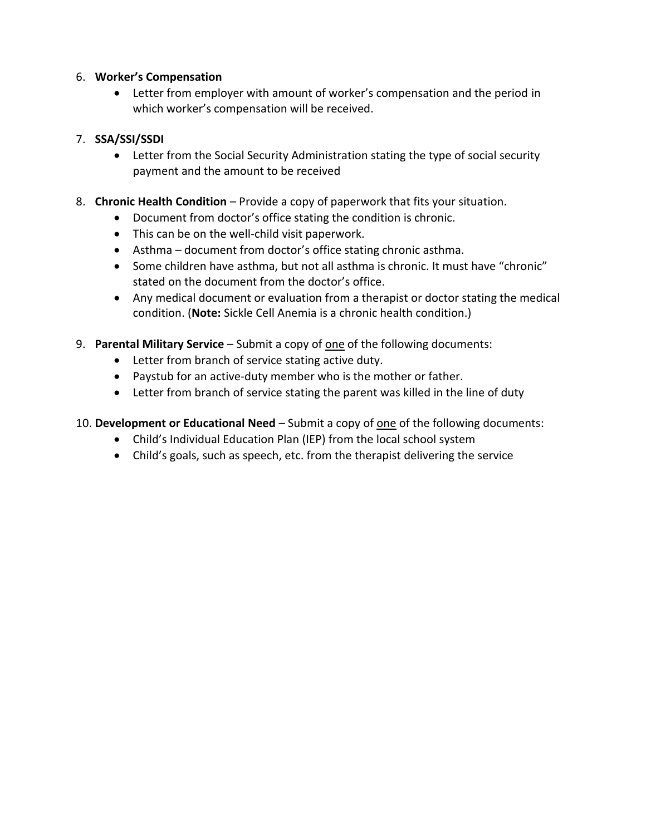## 6. **Worker's Compensation**

• Letter from employer with amount of worker's compensation and the period in which worker's compensation will be received.

## 7. **SSA/SSI/SSDI**

- Letter from the Social Security Administration stating the type of social security payment and the amount to be received
- 8. **Chronic Health Condition**  Provide a copy of paperwork that fits your situation.
	- Document from doctor's office stating the condition is chronic.
	- This can be on the well-child visit paperwork.
	- Asthma document from doctor's office stating chronic asthma.
	- Some children have asthma, but not all asthma is chronic. It must have "chronic" stated on the document from the doctor's office.
	- Any medical document or evaluation from a therapist or doctor stating the medical condition. (**Note:** Sickle Cell Anemia is a chronic health condition.)
- 9. **Parental Military Service** Submit a copy of one of the following documents:
	- Letter from branch of service stating active duty.
	- Paystub for an active-duty member who is the mother or father.
	- Letter from branch of service stating the parent was killed in the line of duty

## 10. **Development or Educational Need** – Submit a copy of one of the following documents:

- Child's Individual Education Plan (IEP) from the local school system
- Child's goals, such as speech, etc. from the therapist delivering the service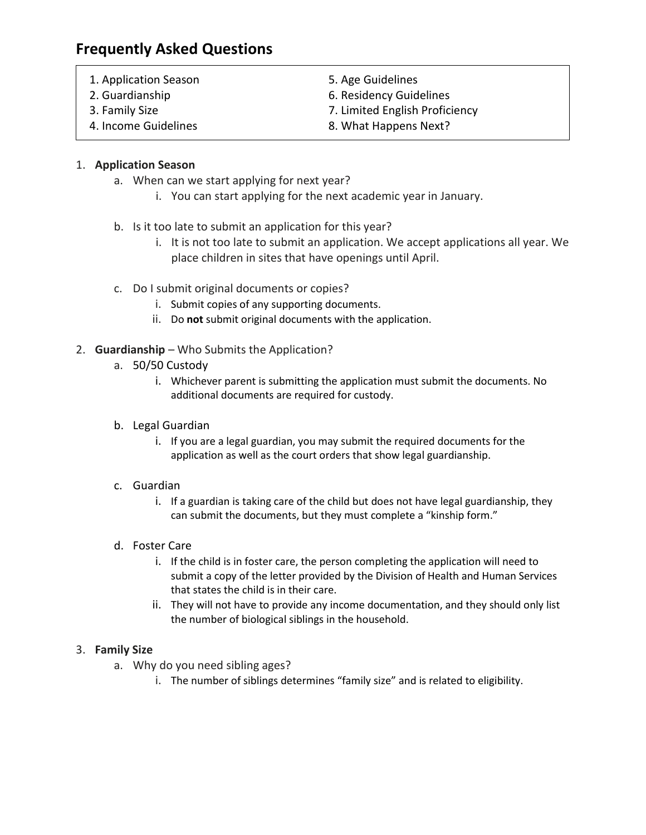# **Frequently Asked Questions**

- 1. Application Season 5. Age Guidelines
- 
- 
- 
- 2. Guardianship 6. Residency Guidelines
- 3. Family Size 7. Limited English Proficiency
- 4. Income Guidelines **8. What Happens Next?**

## 1. **Application Season**

- a. When can we start applying for next year?
	- i. You can start applying for the next academic year in January.
- b. Is it too late to submit an application for this year?
	- i. It is not too late to submit an application. We accept applications all year. We place children in sites that have openings until April.
- c. Do I submit original documents or copies?
	- i. Submit copies of any supporting documents.
	- ii. Do **not** submit original documents with the application.
- 2. **Guardianship** Who Submits the Application?
	- a. 50/50 Custody
		- i. Whichever parent is submitting the application must submit the documents. No additional documents are required for custody.
	- b. Legal Guardian
		- i. If you are a legal guardian, you may submit the required documents for the application as well as the court orders that show legal guardianship.

#### c. Guardian

i. If a guardian is taking care of the child but does not have legal guardianship, they can submit the documents, but they must complete a "kinship form."

## d. Foster Care

- i. If the child is in foster care, the person completing the application will need to submit a copy of the letter provided by the Division of Health and Human Services that states the child is in their care.
- ii. They will not have to provide any income documentation, and they should only list the number of biological siblings in the household.

#### 3. **Family Size**

- a. Why do you need sibling ages?
	- i. The number of siblings determines "family size" and is related to eligibility.